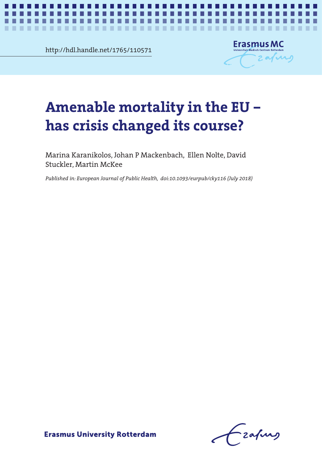http://hdl.handle.net/1765/110571

..................

٠



*Amenable mortality in the EU* **1**

# Amenable mortality in the EU – **has crisis changed its course?**

Marina Karanikolos, Johan P Mackenbach, Ellen Nolte, David Stuckler, Martin McKee

*Published in: European Journal of Public Health, doi:10.1093/eurpub/cky116 (July 2018)*

Lzafurs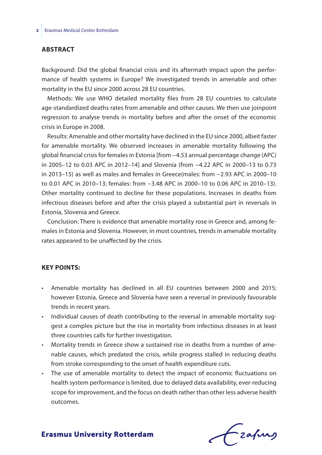#### **Abstract**

Background: Did the global financial crisis and its aftermath impact upon the performance of health systems in Europe? We investigated trends in amenable and other mortality in the EU since 2000 across 28 EU countries.

Methods: We use WHO detailed mortality files from 28 EU countries to calculate age-standardized deaths rates from amenable and other causes. We then use joinpoint regression to analyse trends in mortality before and after the onset of the economic crisis in Europe in 2008.

Results: Amenable and other mortality have declined in the EU since 2000, albeit faster for amenable mortality. We observed increases in amenable mortality following the global financial crisis for females in Estonia [from −4.53 annual percentage change (APC) in 2005–12 to 0.03 APC in 2012–14] and Slovenia (from −4.22 APC in 2000–13 to 0.73 in 2013–15) as well as males and females in Greece(males: from −2.93 APC in 2000–10 to 0.01 APC in 2010–13; females: from −3.48 APC in 2000–10 to 0.06 APC in 2010–13). Other mortality continued to decline for these populations. Increases in deaths from infectious diseases before and after the crisis played a substantial part in reversals in Estonia, Slovenia and Greece.

Conclusion: There is evidence that amenable mortality rose in Greece and, among females in Estonia and Slovenia. However, in most countries, trends in amenable mortality rates appeared to be unaffected by the crisis.

#### **Key points:**

- Amenable mortality has declined in all EU countries between 2000 and 2015; however Estonia, Greece and Slovenia have seen a reversal in previously favourable trends in recent years.
- Individual causes of death contributing to the reversal in amenable mortality suggest a complex picture but the rise in mortality from infectious diseases in at least three countries calls for further investigation.
- Mortality trends in Greece show a sustained rise in deaths from a number of amenable causes, which predated the crisis, while progress stalled in reducing deaths from stroke corresponding to the onset of health expenditure cuts.
- The use of amenable mortality to detect the impact of economic fluctuations on health system performance is limited, due to delayed data availability, ever-reducing scope for improvement, and the focus on death rather than other less adverse health outcomes.

frafing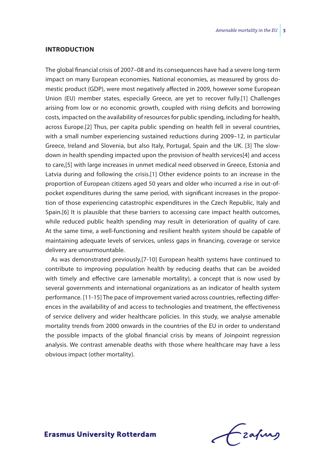#### **Introduction**

The global financial crisis of 2007–08 and its consequences have had a severe long-term impact on many European economies. National economies, as measured by gross domestic product (GDP), were most negatively affected in 2009, however some European Union (EU) member states, especially Greece, are yet to recover fully.[1] Challenges arising from low or no economic growth, coupled with rising deficits and borrowing costs, impacted on the availability of resources for public spending, including for health, across Europe.[2] Thus, per capita public spending on health fell in several countries, with a small number experiencing sustained reductions during 2009–12, in particular Greece, Ireland and Slovenia, but also Italy, Portugal, Spain and the UK. [3] The slowdown in health spending impacted upon the provision of health services[4] and access to care,[5] with large increases in unmet medical need observed in Greece, Estonia and Latvia during and following the crisis.[1] Other evidence points to an increase in the proportion of European citizens aged 50 years and older who incurred a rise in out-ofpocket expenditures during the same period, with significant increases in the proportion of those experiencing catastrophic expenditures in the Czech Republic, Italy and Spain.[6] It is plausible that these barriers to accessing care impact health outcomes, while reduced public health spending may result in deterioration of quality of care. At the same time, a well-functioning and resilient health system should be capable of maintaining adequate levels of services, unless gaps in financing, coverage or service delivery are unsurmountable.

As was demonstrated previously,[7-10] European health systems have continued to contribute to improving population health by reducing deaths that can be avoided with timely and effective care (amenable mortality), a concept that is now used by several governments and international organizations as an indicator of health system performance. [11-15] The pace of improvement varied across countries, reflecting differences in the availability of and access to technologies and treatment, the effectiveness of service delivery and wider healthcare policies. In this study, we analyse amenable mortality trends from 2000 onwards in the countries of the EU in order to understand the possible impacts of the global financial crisis by means of Joinpoint regression analysis. We contrast amenable deaths with those where healthcare may have a less obvious impact (other mortality).

frafing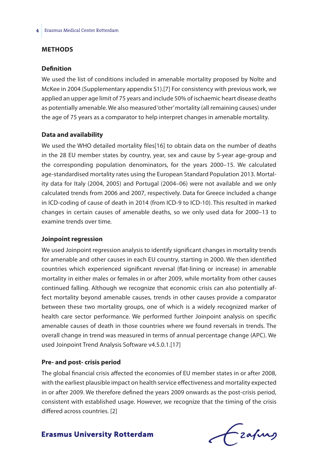#### **Methods**

#### **Definition**

We used the list of conditions included in amenable mortality proposed by Nolte and McKee in 2004 (Supplementary appendix S1).[7] For consistency with previous work, we applied an upper age limit of 75 years and include 50% of ischaemic heart disease deaths as potentially amenable. We also measured 'other' mortality (all remaining causes) under the age of 75 years as a comparator to help interpret changes in amenable mortality.

#### **Data and availability**

We used the WHO detailed mortality files<sup>[16]</sup> to obtain data on the number of deaths in the 28 EU member states by country, year, sex and cause by 5-year age-group and the corresponding population denominators, for the years 2000–15. We calculated age-standardised mortality rates using the European Standard Population 2013. Mortality data for Italy (2004, 2005) and Portugal (2004–06) were not available and we only calculated trends from 2006 and 2007, respectively. Data for Greece included a change in ICD-coding of cause of death in 2014 (from ICD-9 to ICD-10). This resulted in marked changes in certain causes of amenable deaths, so we only used data for 2000–13 to examine trends over time.

#### **Joinpoint regression**

We used Joinpoint regression analysis to identify significant changes in mortality trends for amenable and other causes in each EU country, starting in 2000. We then identified countries which experienced significant reversal (flat-lining or increase) in amenable mortality in either males or females in or after 2009, while mortality from other causes continued falling. Although we recognize that economic crisis can also potentially affect mortality beyond amenable causes, trends in other causes provide a comparator between these two mortality groups, one of which is a widely recognized marker of health care sector performance. We performed further Joinpoint analysis on specific amenable causes of death in those countries where we found reversals in trends. The overall change in trend was measured in terms of annual percentage change (APC). We used Joinpoint Trend Analysis Software v4.5.0.1.[17]

#### **Pre- and post- crisis period**

The global financial crisis affected the economies of EU member states in or after 2008, with the earliest plausible impact on health service effectiveness and mortality expected in or after 2009. We therefore defined the years 2009 onwards as the post-crisis period, consistent with established usage. However, we recognize that the timing of the crisis differed across countries. [2]

frafing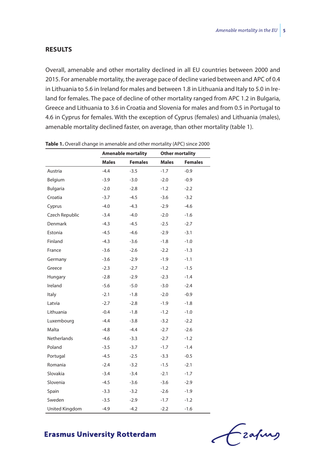#### **Results**

Overall, amenable and other mortality declined in all EU countries between 2000 and 2015. For amenable mortality, the average pace of decline varied between and APC of 0.4 in Lithuania to 5.6 in Ireland for males and between 1.8 in Lithuania and Italy to 5.0 in Ireland for females. The pace of decline of other mortality ranged from APC 1.2 in Bulgaria, Greece and Lithuania to 3.6 in Croatia and Slovenia for males and from 0.5 in Portugal to 4.6 in Cyprus for females. With the exception of Cyprus (females) and Lithuania (males), amenable mortality declined faster, on average, than other mortality (table 1).

|                    | <b>Amenable mortality</b> |                | <b>Other mortality</b> |                |  |
|--------------------|---------------------------|----------------|------------------------|----------------|--|
|                    | <b>Males</b>              | <b>Females</b> | <b>Males</b>           | <b>Females</b> |  |
| Austria            | $-4.4$                    | $-3.5$         | $-1.7$                 | $-0.9$         |  |
| Belgium            | $-3.9$                    | $-3.0$         | $-2.0$                 | $-0.9$         |  |
| Bulgaria           | $-2.0$                    | $-2.8$         | $-1.2$                 | $-2.2$         |  |
| Croatia            | $-3.7$                    | $-4.5$         | $-3.6$                 | $-3.2$         |  |
| Cyprus             | $-4.0$                    | $-4.3$         | $-2.9$                 | $-4.6$         |  |
| Czech Republic     | $-3.4$                    | $-4.0$         | $-2.0$                 | $-1.6$         |  |
| Denmark            | $-4.3$                    | $-4.5$         | $-2.5$                 | $-2.7$         |  |
| Estonia            | $-4.5$                    | $-4.6$         | $-2.9$                 | $-3.1$         |  |
| Finland            | $-4.3$                    | $-3.6$         | $-1.8$                 | $-1.0$         |  |
| France             | $-3.6$                    | $-2.6$         | $-2.2$                 | $-1.3$         |  |
| Germany            | $-3.6$                    | $-2.9$         | $-1.9$                 | $-1.1$         |  |
| Greece             | $-2.3$                    | $-2.7$         | $-1.2$                 | $-1.5$         |  |
| Hungary            | $-2.8$                    | $-2.9$         | $-2.3$                 | $-1.4$         |  |
| Ireland            | $-5.6$                    | $-5.0$         | $-3.0$                 | $-2.4$         |  |
| Italy              | $-2.1$                    | $-1.8$         | $-2.0$                 | $-0.9$         |  |
| Latvia             | $-2.7$                    | $-2.8$         | $-1.9$                 | $-1.8$         |  |
| Lithuania          | $-0.4$                    | $-1.8$         | $-1.2$                 | $-1.0$         |  |
| Luxembourg         | -4.4                      | $-3.8$         | $-3.2$                 | $-2.2$         |  |
| Malta              | $-4.8$                    | $-4.4$         | $-2.7$                 | $-2.6$         |  |
| <b>Netherlands</b> | $-4.6$                    | $-3.3$         | $-2.7$                 | $-1.2$         |  |
| Poland             | $-3.5$                    | $-3.7$         | $-1.7$                 | $-1.4$         |  |
| Portugal           | $-4.5$                    | $-2.5$         | $-3.3$                 | $-0.5$         |  |
| Romania            | $-2.4$                    | $-3.2$         | $-1.5$                 | $-2.1$         |  |
| Slovakia           | $-3.4$                    | $-3.4$         | $-2.1$                 | $-1.7$         |  |
| Slovenia           | $-4.5$                    | $-3.6$         | $-3.6$                 | $-2.9$         |  |
| Spain              | $-3.3$                    | $-3.2$         | $-2.6$                 | $-1.9$         |  |
| Sweden             | $-3.5$                    | $-2.9$         | $-1.7$                 | $-1.2$         |  |
| United Kingdom     | $-4.9$                    | $-4.2$         | $-2.2$                 | $-1.6$         |  |

Table 1. Overall change in amenable and other mortality (APC) since 2000

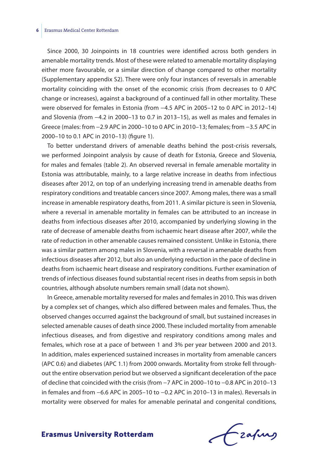#### **6** Erasmus Medical Center Rotterdam

Since 2000, 30 Joinpoints in 18 countries were identified across both genders in amenable mortality trends. Most of these were related to amenable mortality displaying either more favourable, or a similar direction of change compared to other mortality (Supplementary appendix S2). There were only four instances of reversals in amenable mortality coinciding with the onset of the economic crisis (from decreases to 0 APC change or increases), against a background of a continued fall in other mortality. These were observed for females in Estonia (from −4.5 APC in 2005–12 to 0 APC in 2012–14) and Slovenia (from −4.2 in 2000–13 to 0.7 in 2013–15), as well as males and females in Greece (males: from −2.9 APC in 2000–10 to 0 APC in 2010–13; females; from −3.5 APC in 2000–10 to 0.1 APC in 2010–13) (figure 1).

To better understand drivers of amenable deaths behind the post-crisis reversals, we performed Joinpoint analysis by cause of death for Estonia, Greece and Slovenia, for males and females (table 2). An observed reversal in female amenable mortality in Estonia was attributable, mainly, to a large relative increase in deaths from infectious diseases after 2012, on top of an underlying increasing trend in amenable deaths from respiratory conditions and treatable cancers since 2007. Among males, there was a small increase in amenable respiratory deaths, from 2011. A similar picture is seen in Slovenia, where a reversal in amenable mortality in females can be attributed to an increase in deaths from infectious diseases after 2010, accompanied by underlying slowing in the rate of decrease of amenable deaths from ischaemic heart disease after 2007, while the rate of reduction in other amenable causes remained consistent. Unlike in Estonia, there was a similar pattern among males in Slovenia, with a reversal in amenable deaths from infectious diseases after 2012, but also an underlying reduction in the pace of decline in deaths from ischaemic heart disease and respiratory conditions. Further examination of trends of infectious diseases found substantial recent rises in deaths from sepsis in both countries, although absolute numbers remain small (data not shown).

In Greece, amenable mortality reversed for males and females in 2010. This was driven by a complex set of changes, which also differed between males and females. Thus, the observed changes occurred against the background of small, but sustained increases in selected amenable causes of death since 2000. These included mortality from amenable infectious diseases, and from digestive and respiratory conditions among males and females, which rose at a pace of between 1 and 3% per year between 2000 and 2013. In addition, males experienced sustained increases in mortality from amenable cancers (APC 0.6) and diabetes (APC 1.1) from 2000 onwards. Mortality from stroke fell throughout the entire observation period but we observed a significant deceleration of the pace of decline that coincided with the crisis (from −7 APC in 2000–10 to −0.8 APC in 2010–13 in females and from −6.6 APC in 2005–10 to −0.2 APC in 2010–13 in males). Reversals in mortality were observed for males for amenable perinatal and congenital conditions,

 $f$  zafung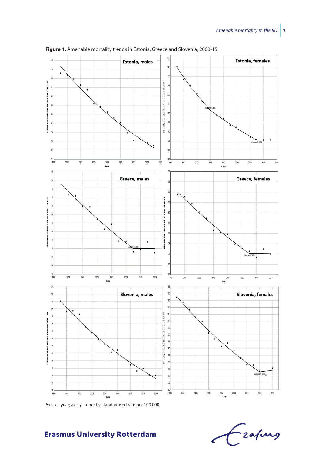

**Figure 1.** Amenable mortality trends in Estonia, Greece and Slovenia, 2000-15

Axis x – year; axis y – directly standardised rate per 100,000

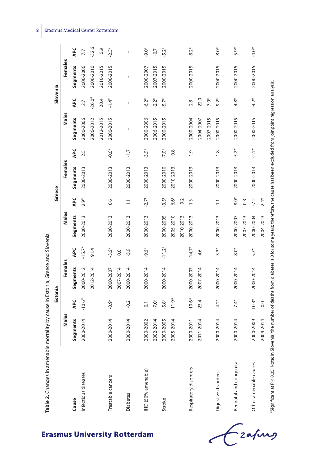| Table 2. Changes in amenable mortality by cause in Estonia, Greece and Slovenia                                                                                                 |                         |                  | Estonia   |            |           | Greece           |           |               |           | Slovenia   |           |            |
|---------------------------------------------------------------------------------------------------------------------------------------------------------------------------------|-------------------------|------------------|-----------|------------|-----------|------------------|-----------|---------------|-----------|------------|-----------|------------|
|                                                                                                                                                                                 | Males<br>$\overline{1}$ |                  | Females   |            | Males     |                  | Females   |               | Males     |            | Females   |            |
| Cause                                                                                                                                                                           | Segments                | APC              | Segments  | <b>APC</b> | Segments  | <b>APC</b>       | Segments  | <b>APC</b>    | Segments  | <b>APC</b> | Segments  | <b>APC</b> |
| Infectious diseases                                                                                                                                                             | 2000-2014               | $-10.6*$         | 2000-2012 | $-15.7*$   | 2000-2013 | $2.9*$           | 2000-2013 | 2.5           | 2000-2006 | 2.7        | 2000-2006 | 7.7        |
|                                                                                                                                                                                 |                         |                  | 2012-2014 | 91.4       |           |                  |           |               | 2006-2012 | $-26.0*$   | 2006-2010 | $-32.6$    |
|                                                                                                                                                                                 |                         |                  |           |            |           |                  |           |               | 2012-2015 | 20.4       | 2010-2015 | 15.9       |
| Treatable cancers                                                                                                                                                               | 2000-2014               | $-0.9*$          | 2000-2007 | $-3.6*$    | 2000-2013 | 0.6              | 2000-2013 | $-0.6*$       | 2000-2015 | $-1.4*$    | 2000-2015 | $-2.3*$    |
|                                                                                                                                                                                 |                         |                  | 2007-2014 | 0.0        |           |                  |           |               |           |            |           |            |
| Diabetes                                                                                                                                                                        | 2000-2014               | $-0.2$           | 2000-2014 | $-5.9$     | 2000-2013 | $\overline{1}$   | 2000-2013 | $-1.7$        |           |            |           |            |
|                                                                                                                                                                                 |                         |                  |           |            |           |                  |           |               |           |            |           |            |
| IHD (50% amenable)                                                                                                                                                              | 2000-2002               | $\overline{0}$ . | 2000-2014 | $-9.6*$    | 2000-2013 | $-2.7*$          | 2000-2013 | $-3.9*$       | 2000-2006 | $-6.2*$    | 2000-2007 | $-9.0*$    |
|                                                                                                                                                                                 | 2002-2014               | $-7.0*$          |           |            |           |                  |           |               | 2006-2015 | $-2.2*$    | 2007-2015 | $-0.7$     |
| Stroke                                                                                                                                                                          | 2000-2005               | $-5.8*$          | 2000-2014 | $-11.2*$   | 2000-2005 | $-3.5*$          | 2000-2010 | $-7.0*$       | 2000-2015 | $-5.7*$    | 2000-2015 | $-5.2*$    |
|                                                                                                                                                                                 | 2005-2014               | $-11.9*$         |           |            | 2005-2010 | $-6.6*$          | 2010-2013 | $-0.8$        |           |            |           |            |
|                                                                                                                                                                                 |                         |                  |           |            | 2010-2013 | $-0.2$           |           |               |           |            |           |            |
| Respiratory disorders                                                                                                                                                           | 2000-2011               | $-10.6*$         | 2000-2007 | $-14.7*$   | 2000-2013 | $\frac{3}{2}$    | 2000-2013 | $\frac{0}{2}$ | 2000-2004 | 2.8        | 2000-2015 | $-8.2*$    |
|                                                                                                                                                                                 | 2011-2014               | 23.4             | 2007-2014 | 4.6        |           |                  |           |               | 2004-2007 | $-22.0$    |           |            |
|                                                                                                                                                                                 |                         |                  |           |            |           |                  |           |               | 2007-2015 | $-7.0*$    |           |            |
| Digestive disorders                                                                                                                                                             | 2000-2014               | $-4.2*$          | 2000-2014 | $-3.3*$    | 2000-2013 | $\overline{1}$ . | 2000-2013 | $\frac{8}{1}$ | 2000-2015 | $-9.2*$    | 2000-2015 | $-8.0*$    |
|                                                                                                                                                                                 |                         |                  |           |            |           |                  |           |               |           |            |           |            |
| Perinatal and congenital                                                                                                                                                        | 2000-2014               | $-7.4*$          | 2000-2014 | $-8.0*$    | 2000-2007 | $-8.0*$          | 2000-2013 | $-5.2*$       | 2000-2015 | $-4.8*$    | 2000-2015 | $-5.9*$    |
|                                                                                                                                                                                 |                         |                  |           |            | 2007-2013 | $0.\overline{3}$ |           |               |           |            |           |            |
| Other amenable causes                                                                                                                                                           | 2000-2009               | $10.3*$          | 2000-2014 | $5.3*$     | 2000-2004 | $-7.2$           | 2000-2013 | $-2.1*$       | 2000-2015 | $-4.2*$    | 2000-2015 | $-4.0*$    |
|                                                                                                                                                                                 | 2009-2014               | 0.0              |           |            | 2004-2013 | $2.4*$           |           |               |           |            |           |            |
| *Significant at P < 0.05; Note: In Slovenia, the number of deaths from diabetes is 0 for some years; therefore, the cause has been excluded from joinpoint regression analysis. |                         |                  |           |            |           |                  |           |               |           |            |           |            |

## **Erasmus University Rotterdam**

Ezafung  $\epsilon$ 

**8** Erasmus Medical Center Rotterdam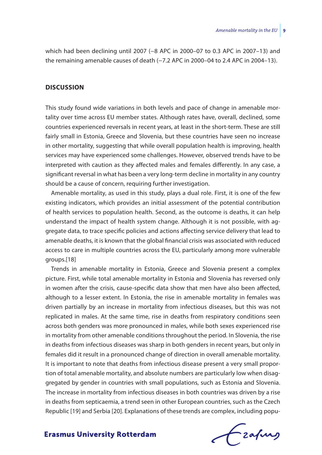which had been declining until 2007 (−8 APC in 2000–07 to 0.3 APC in 2007–13) and the remaining amenable causes of death (−7.2 APC in 2000–04 to 2.4 APC in 2004–13).

#### **Discussion**

This study found wide variations in both levels and pace of change in amenable mortality over time across EU member states. Although rates have, overall, declined, some countries experienced reversals in recent years, at least in the short-term. These are still fairly small in Estonia, Greece and Slovenia, but these countries have seen no increase in other mortality, suggesting that while overall population health is improving, health services may have experienced some challenges. However, observed trends have to be interpreted with caution as they affected males and females differently. In any case, a significant reversal in what has been a very long-term decline in mortality in any country should be a cause of concern, requiring further investigation.

Amenable mortality, as used in this study, plays a dual role. First, it is one of the few existing indicators, which provides an initial assessment of the potential contribution of health services to population health. Second, as the outcome is deaths, it can help understand the impact of health system change. Although it is not possible, with aggregate data, to trace specific policies and actions affecting service delivery that lead to amenable deaths, it is known that the global financial crisis was associated with reduced access to care in multiple countries across the EU, particularly among more vulnerable groups.[18]

Trends in amenable mortality in Estonia, Greece and Slovenia present a complex picture. First, while total amenable mortality in Estonia and Slovenia has reversed only in women after the crisis, cause-specific data show that men have also been affected, although to a lesser extent. In Estonia, the rise in amenable mortality in females was driven partially by an increase in mortality from infectious diseases, but this was not replicated in males. At the same time, rise in deaths from respiratory conditions seen across both genders was more pronounced in males, while both sexes experienced rise in mortality from other amenable conditions throughout the period. In Slovenia, the rise in deaths from infectious diseases was sharp in both genders in recent years, but only in females did it result in a pronounced change of direction in overall amenable mortality. It is important to note that deaths from infectious disease present a very small proportion of total amenable mortality, and absolute numbers are particularly low when disaggregated by gender in countries with small populations, such as Estonia and Slovenia. The increase in mortality from infectious diseases in both countries was driven by a rise in deaths from septicaemia, a trend seen in other European countries, such as the Czech Republic [19] and Serbia [20]. Explanations of these trends are complex, including popu-

frahing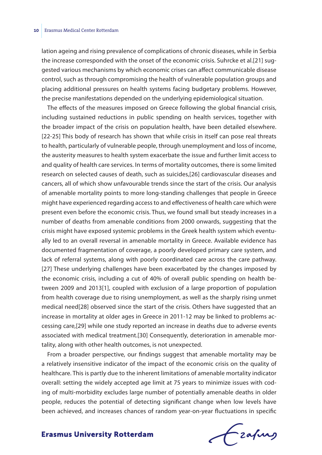lation ageing and rising prevalence of complications of chronic diseases, while in Serbia the increase corresponded with the onset of the economic crisis. Suhrcke et al.[21] suggested various mechanisms by which economic crises can affect communicable disease control, such as through compromising the health of vulnerable population groups and placing additional pressures on health systems facing budgetary problems. However, the precise manifestations depended on the underlying epidemiological situation.

The effects of the measures imposed on Greece following the global financial crisis, including sustained reductions in public spending on health services, together with the broader impact of the crisis on population health, have been detailed elsewhere. [22-25] This body of research has shown that while crisis in itself can pose real threats to health, particularly of vulnerable people, through unemployment and loss of income, the austerity measures to health system exacerbate the issue and further limit access to and quality of health care services. In terms of mortality outcomes, there is some limited research on selected causes of death, such as suicides,[26] cardiovascular diseases and cancers, all of which show unfavourable trends since the start of the crisis. Our analysis of amenable mortality points to more long-standing challenges that people in Greece might have experienced regarding access to and effectiveness of health care which were present even before the economic crisis. Thus, we found small but steady increases in a number of deaths from amenable conditions from 2000 onwards, suggesting that the crisis might have exposed systemic problems in the Greek health system which eventually led to an overall reversal in amenable mortality in Greece. Available evidence has documented fragmentation of coverage, a poorly developed primary care system, and lack of referral systems, along with poorly coordinated care across the care pathway. [27] These underlying challenges have been exacerbated by the changes imposed by the economic crisis, including a cut of 40% of overall public spending on health between 2009 and 2013[1], coupled with exclusion of a large proportion of population from health coverage due to rising unemployment, as well as the sharply rising unmet medical need[28] observed since the start of the crisis. Others have suggested that an increase in mortality at older ages in Greece in 2011-12 may be linked to problems accessing care,[29] while one study reported an increase in deaths due to adverse events associated with medical treatment.[30] Consequently, deterioration in amenable mortality, along with other health outcomes, is not unexpected.

From a broader perspective, our findings suggest that amenable mortality may be a relatively insensitive indicator of the impact of the economic crisis on the quality of healthcare. This is partly due to the inherent limitations of amenable mortality indicator overall: setting the widely accepted age limit at 75 years to minimize issues with coding of multi-morbidity excludes large number of potentially amenable deaths in older people, reduces the potential of detecting significant change when low levels have been achieved, and increases chances of random year-on-year fluctuations in specific

Frahing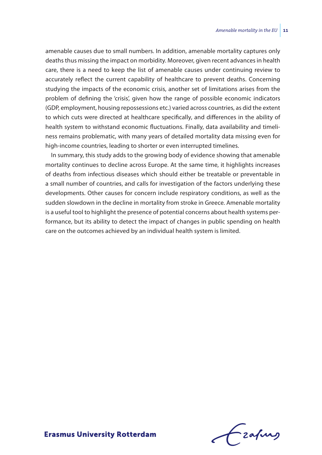amenable causes due to small numbers. In addition, amenable mortality captures only deaths thus missing the impact on morbidity. Moreover, given recent advances in health care, there is a need to keep the list of amenable causes under continuing review to accurately reflect the current capability of healthcare to prevent deaths. Concerning studying the impacts of the economic crisis, another set of limitations arises from the problem of defining the 'crisis', given how the range of possible economic indicators (GDP, employment, housing repossessions etc.) varied across countries, as did the extent to which cuts were directed at healthcare specifically, and differences in the ability of health system to withstand economic fluctuations. Finally, data availability and timeliness remains problematic, with many years of detailed mortality data missing even for high-income countries, leading to shorter or even interrupted timelines.

In summary, this study adds to the growing body of evidence showing that amenable mortality continues to decline across Europe. At the same time, it highlights increases of deaths from infectious diseases which should either be treatable or preventable in a small number of countries, and calls for investigation of the factors underlying these developments. Other causes for concern include respiratory conditions, as well as the sudden slowdown in the decline in mortality from stroke in Greece. Amenable mortality is a useful tool to highlight the presence of potential concerns about health systems performance, but its ability to detect the impact of changes in public spending on health care on the outcomes achieved by an individual health system is limited.

frafing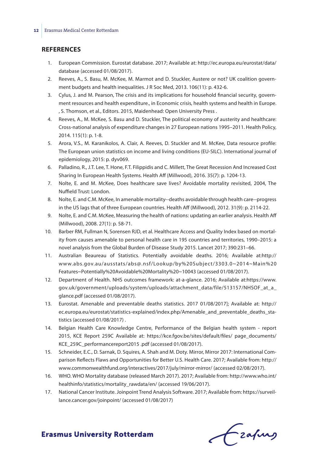#### **References**

- 1. European Commission. Eurostat database. 2017; Available at: http://ec.europa.eu/eurostat/data/ database (accessed 01/08/2017).
- 2. Reeves, A., S. Basu, M. McKee, M. Marmot and D. Stuckler, Austere or not? UK coalition government budgets and health inequalities. J R Soc Med, 2013. 106(11): p. 432-6.
- 3. Cylus, J. and M. Pearson, The crisis and its implications for household financial security, government resources and health expenditure., in Economic crisis, health systems and health in Europe. , S. Thomson, et al., Editors. 2015, Maidenhead: Open University Press .
- 4. Reeves, A., M. McKee, S. Basu and D. Stuckler, The political economy of austerity and healthcare: Cross-national analysis of expenditure changes in 27 European nations 1995–2011. Health Policy, 2014. 115(1): p. 1-8.
- 5. Arora, V.S., M. Karanikolos, A. Clair, A. Reeves, D. Stuckler and M. McKee, Data resource profile: The European union statistics on income and living conditions (EU-SILC). International journal of epidemiology, 2015: p. dyv069.
- 6. Palladino, R., J.T. Lee, T. Hone, F.T. Filippidis and C. Millett, The Great Recession And Increased Cost Sharing In European Health Systems. Health Aff (Millwood), 2016. 35(7): p. 1204-13.
- 7. Nolte, E. and M. McKee, Does healthcare save lives? Avoidable mortality revisited, 2004, The Nuffield Trust: London.
- 8. Nolte, E. and C.M. McKee, In amenable mortality--deaths avoidable through health care--progress in the US lags that of three European countries. Health Aff (Millwood), 2012. 31(9): p. 2114-22.
- 9. Nolte, E. and C.M. McKee, Measuring the health of nations: updating an earlier analysis. Health Aff (Millwood), 2008. 27(1): p. 58-71.
- 10. Barber RM, Fullman N, Sorensen RJD, et al. Healthcare Access and Quality Index based on mortality from causes amenable to personal health care in 195 countries and territories, 1990–2015: a novel analysis from the Global Burden of Disease Study 2015. Lancet 2017; 390:231–66.
- 11. Australian Beaureau of Statistics. Potentially avoidable deaths. 2016; Available at:http:// www.abs.gov.au/ausstats/abs@.nsf/Lookup/by%20Subject/3303.0~2014~Main%20 Features~Potentially%20Avoidable%20Mortality%20~10043 (accessed 01/08/2017).
- 12. Department of Health. NHS outcomes framework: at-a-glance. 2016; Available at:https://www. gov.uk/government/uploads/system/uploads/attachment\_data/file/513157/NHSOF\_at\_a\_ glance.pdf (accessed 01/08/2017).
- 13. Eurostat. Amenable and preventable deaths statistics. 2017 01/08/2017]; Available at: http:// ec.europa.eu/eurostat/statistics-explained/index.php/Amenable\_and\_preventable\_deaths\_statistics (accessed 01/08/2017) .
- 14. Belgian Health Care Knowledge Centre, Performance of the Belgian health system report 2015, KCE Report 259C Available at: https://kce.fgov.be/sites/default/files/ page\_documents/ KCE\_259C\_performancereport2015 .pdf (accessed 01/08/2017).
- 15. Schneider, E.C., D. Sarnak, D. Squires, A. Shah and M. Doty. Mirror, Mirror 2017: International Comparison Reflects Flaws and Opportunities for Better U.S. Health Care. 2017; Available from: http:// www.commonwealthfund.org/interactives/2017/july/mirror-mirror/ (accessed 02/08/2017).
- 16. WHO. WHO Mortality database (released March 2017). 2017; Available from: http://www.who.int/ healthinfo/statistics/mortality\_rawdata/en/ (accessed 19/06/2017).
- 17. National Cancer Institute. Joinpoint Trend Analysis Software. 2017; Available from: https://surveillance.cancer.gov/joinpoint/ (accessed 01/08/2017)

frafing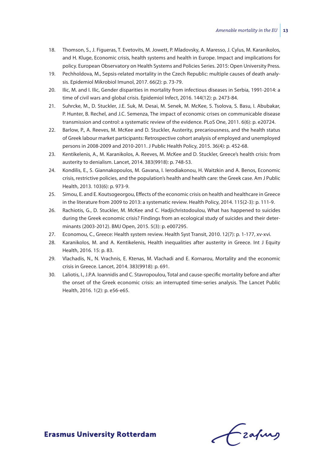- 18. Thomson, S., J. Figueras, T. Evetovits, M. Jowett, P. Mladovsky, A. Maresso, J. Cylus, M. Karanikolos, and H. Kluge, Economic crisis, health systems and health in Europe. Impact and implications for policy. European Observatory on Health Systems and Policies Series. 2015: Open University Press.
- 19. Pechholdova, M., Sepsis-related mortality in the Czech Republic: multiple causes of death analysis. Epidemiol Mikrobiol Imunol, 2017. 66(2): p. 73-79.
- 20. Ilic, M. and I. Ilic, Gender disparities in mortality from infectious diseases in Serbia, 1991-2014: a time of civil wars and global crisis. Epidemiol Infect, 2016. 144(12): p. 2473-84.
- 21. Suhrcke, M., D. Stuckler, J.E. Suk, M. Desai, M. Senek, M. McKee, S. Tsolova, S. Basu, I. Abubakar, P. Hunter, B. Rechel, and J.C. Semenza, The impact of economic crises on communicable disease transmission and control: a systematic review of the evidence. PLoS One, 2011. 6(6): p. e20724.
- 22. Barlow, P., A. Reeves, M. McKee and D. Stuckler, Austerity, precariousness, and the health status of Greek labour market participants: Retrospective cohort analysis of employed and unemployed persons in 2008-2009 and 2010-2011. J Public Health Policy, 2015. 36(4): p. 452-68.
- 23. Kentikelenis, A., M. Karanikolos, A. Reeves, M. McKee and D. Stuckler, Greece's health crisis: from austerity to denialism. Lancet, 2014. 383(9918): p. 748-53.
- 24. Kondilis, E., S. Giannakopoulos, M. Gavana, I. Ierodiakonou, H. Waitzkin and A. Benos, Economic crisis, restrictive policies, and the population's health and health care: the Greek case. Am J Public Health, 2013. 103(6): p. 973-9.
- 25. Simou, E. and E. Koutsogeorgou, Effects of the economic crisis on health and healthcare in Greece in the literature from 2009 to 2013: a systematic review. Health Policy, 2014. 115(2-3): p. 111-9.
- 26. Rachiotis, G., D. Stuckler, M. McKee and C. Hadjichristodoulou, What has happened to suicides during the Greek economic crisis? Findings from an ecological study of suicides and their determinants (2003-2012). BMJ Open, 2015. 5(3): p. e007295.
- 27. Economou, C., Greece: Health system review. Health Syst Transit, 2010. 12(7): p. 1-177, xv-xvi.
- 28. Karanikolos, M. and A. Kentikelenis, Health inequalities after austerity in Greece. Int J Equity Health, 2016. 15: p. 83.
- 29. Vlachadis, N., N. Vrachnis, E. Ktenas, M. Vlachadi and E. Kornarou, Mortality and the economic crisis in Greece. Lancet, 2014. 383(9918): p. 691.
- 30. Laliotis, I., J.P.A. Ioannidis and C. Stavropoulou, Total and cause-specific mortality before and after the onset of the Greek economic crisis: an interrupted time-series analysis. The Lancet Public Health, 2016. 1(2): p. e56-e65.

Frahing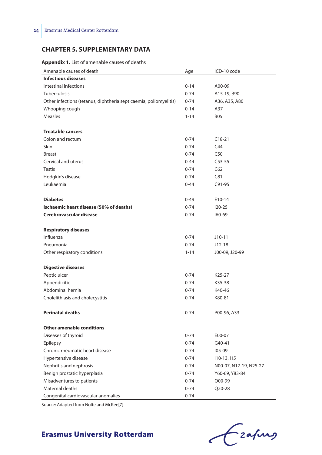#### **Chapter 5. Supplementary data**

#### **Appendix 1.** List of amenable causes of deaths

| Amenable causes of death                                          | Age      | ICD-10 code            |
|-------------------------------------------------------------------|----------|------------------------|
| <b>Infectious diseases</b>                                        |          |                        |
| Intestinal infections                                             | $0 - 14$ | A00-09                 |
| Tuberculosis                                                      | $0 - 74$ | A15-19, B90            |
| Other infections (tetanus, diphtheria septicaemia, poliomyelitis) | $0 - 74$ | A36, A35, A80          |
| Whooping cough                                                    | $0 - 14$ | A37                    |
| <b>Measles</b>                                                    | $1 - 14$ | <b>B05</b>             |
|                                                                   |          |                        |
| <b>Treatable cancers</b>                                          |          |                        |
| Colon and rectum                                                  | $0 - 74$ | $C18-21$               |
| <b>Skin</b>                                                       | $0 - 74$ | C44                    |
| <b>Breast</b>                                                     | $0 - 74$ | C50                    |
| Cervical and uterus                                               | $0 - 44$ | $C53-55$               |
| <b>Testis</b>                                                     | $0 - 74$ | C62                    |
| Hodgkin's disease                                                 | $0 - 74$ | C81                    |
| Leukaemia                                                         | $0 - 44$ | $C91-95$               |
|                                                                   |          |                        |
| <b>Diabetes</b>                                                   | $0 - 49$ | E10-14                 |
| Ischaemic heart disease (50% of deaths)                           | $0 - 74$ | $120 - 25$             |
| Cerebrovascular disease                                           | $0 - 74$ | $160 - 69$             |
|                                                                   |          |                        |
| <b>Respiratory diseases</b>                                       |          |                        |
| Influenza                                                         | $0 - 74$ | $J10-11$               |
| Pneumonia                                                         | $0 - 74$ | $J12-18$               |
| Other respiratory conditions                                      | $1 - 14$ | J00-09, J20-99         |
| <b>Digestive diseases</b>                                         |          |                        |
| Peptic ulcer                                                      | $0 - 74$ | K25-27                 |
| Appendicitic                                                      | $0 - 74$ | K35-38                 |
| Abdominal hernia                                                  | $0 - 74$ | K40-46                 |
| Cholelithiasis and cholecystitis                                  | $0 - 74$ | K80-81                 |
|                                                                   |          |                        |
| <b>Perinatal deaths</b>                                           | $0 - 74$ | P00-96, A33            |
|                                                                   |          |                        |
| <b>Other amenable conditions</b>                                  |          |                        |
| Diseases of thyroid                                               | $0 - 74$ | E00-07                 |
| Epilepsy                                                          | $0 - 74$ | G40-41                 |
| Chronic rheumatic heart disease                                   | $0 - 74$ | $105 - 09$             |
| Hypertensive disease                                              | $0 - 74$ | 110-13, 115            |
| Nephritis and nephrosis                                           | $0 - 74$ | N00-07, N17-19, N25-27 |
| Benign prostatic hyperplasia                                      | $0 - 74$ | Y60-69, Y83-84         |
| Misadventures to patients                                         | $0 - 74$ | O00-99                 |
| Maternal deaths                                                   | $0 - 74$ | Q20-28                 |
| Congenital cardiovascular anomalies                               | $0 - 74$ |                        |

Source: Adapted from Nolte and McKee[7]



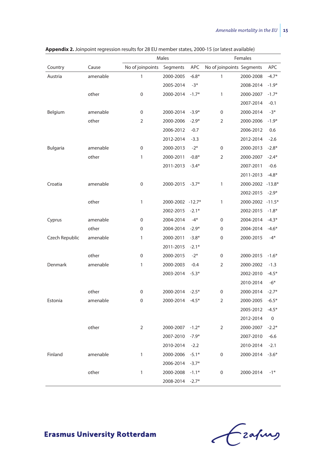|                |          |                  | Males            |         |                           | Females          |            |
|----------------|----------|------------------|------------------|---------|---------------------------|------------------|------------|
| Country        | Cause    | No of joinpoints | Segments         | APC     | No of joinpoints Segments |                  | <b>APC</b> |
| Austria        | amenable | 1                | 2000-2005        | $-6.8*$ | 1                         | 2000-2008        | $-4.7*$    |
|                |          |                  | 2005-2014        | $-3*$   |                           | 2008-2014        | $-1.9*$    |
|                | other    | $\mathbf 0$      | 2000-2014        | $-1.7*$ | 1                         | 2000-2007        | $-1.7*$    |
|                |          |                  |                  |         |                           | 2007-2014        | $-0.1$     |
| Belgium        | amenable | $\boldsymbol{0}$ | 2000-2014        | $-3.9*$ | 0                         | 2000-2014        | $-3*$      |
|                | other    | $\overline{2}$   | 2000-2006        | $-2.9*$ | $\overline{2}$            | 2000-2006        | $-1.9*$    |
|                |          |                  | 2006-2012        | $-0.7$  |                           | 2006-2012        | 0.6        |
|                |          |                  | 2012-2014        | $-3.3$  |                           | 2012-2014        | $-2.6$     |
| Bulgaria       | amenable | $\mathbf 0$      | 2000-2013        | $-2*$   | 0                         | 2000-2013        | $-2.8*$    |
|                | other    | 1                | 2000-2011        | $-0.8*$ | 2                         | 2000-2007        | $-2.4*$    |
|                |          |                  | 2011-2013        | $-3.4*$ |                           | 2007-2011        | $-0.6$     |
|                |          |                  |                  |         |                           | 2011-2013        | $-4.8*$    |
| Croatia        | amenable | $\mathbf 0$      | 2000-2015        | $-3.7*$ | 1                         | 2000-2002 -13.8* |            |
|                |          |                  |                  |         |                           | 2002-2015        | $-2.9*$    |
|                | other    | 1                | 2000-2002 -12.7* |         | 1                         | 2000-2002 -11.5* |            |
|                |          |                  | 2002-2015        | $-2.1*$ |                           | 2002-2015        | $-1.8*$    |
| Cyprus         | amenable | $\mathbf 0$      | 2004-2014        | $-4*$   | 0                         | 2004-2014        | $-4.3*$    |
|                | other    | $\mathbf 0$      | 2004-2014        | $-2.9*$ | 0                         | 2004-2014        | $-4.6*$    |
| Czech Republic | amenable | 1                | 2000-2011        | $-3.8*$ | 0                         | 2000-2015        | $-4*$      |
|                |          |                  | 2011-2015        | $-2.1*$ |                           |                  |            |
|                | other    | $\mathbf 0$      | 2000-2015        | $-2*$   | 0                         | 2000-2015        | $-1.6*$    |
| Denmark        | amenable | 1                | 2000-2003        | $-0.4$  | $\overline{2}$            | 2000-2002        | $-1.3$     |
|                |          |                  | 2003-2014        | $-5.3*$ |                           | 2002-2010        | $-4.5*$    |
|                |          |                  |                  |         |                           | 2010-2014        | $-6*$      |
|                | other    | $\mathbf 0$      | 2000-2014        | $-2.5*$ | 0                         | 2000-2014        | $-2.7*$    |
| Estonia        | amenable | $\mathbf 0$      | 2000-2014        | $-4.5*$ | $\overline{2}$            | 2000-2005        | $-6.5*$    |
|                |          |                  |                  |         |                           | 2005-2012        | $-4.5*$    |
|                |          |                  |                  |         |                           | 2012-2014        | $\pmb{0}$  |
|                | other    | $\overline{2}$   | 2000-2007        | $-1.2*$ | $\overline{2}$            | 2000-2007        | $-2.2*$    |
|                |          |                  | 2007-2010        | $-7.9*$ |                           | 2007-2010        | $-6.6$     |
|                |          |                  | 2010-2014        | $-2.2$  |                           | 2010-2014        | $-2.1$     |
| Finland        | amenable | 1                | 2000-2006        | $-5.1*$ | 0                         | 2000-2014        | $-3.6*$    |
|                |          |                  | 2006-2014        | $-3.7*$ |                           |                  |            |
|                | other    | 1                | 2000-2008        | $-1.1*$ | 0                         | 2000-2014        | $-1*$      |
|                |          |                  | 2008-2014        | $-2.7*$ |                           |                  |            |

**Appendix 2.** Joinpoint regression results for 28 EU member states, 2000-15 (or latest available)

Czapus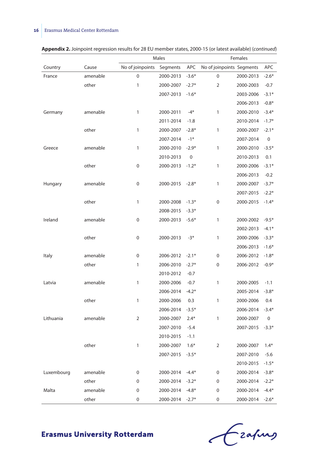|            |          |                  | Males     |             |                           | Females   |                  |
|------------|----------|------------------|-----------|-------------|---------------------------|-----------|------------------|
| Country    | Cause    | No of joinpoints | Segments  | APC         | No of joinpoints Segments |           | APC              |
| France     | amenable | 0                | 2000-2013 | $-3.6*$     | $\mathbf 0$               | 2000-2013 | $-2.6*$          |
|            | other    | 1                | 2000-2007 | $-2.7*$     | $\overline{2}$            | 2000-2003 | $-0.7$           |
|            |          |                  | 2007-2013 | $-1.6*$     |                           | 2003-2006 | $-3.1*$          |
|            |          |                  |           |             |                           | 2006-2013 | $-0.8*$          |
| Germany    | amenable | 1                | 2000-2011 | $-4*$       | 1                         | 2000-2010 | $-3.4*$          |
|            |          |                  | 2011-2014 | $-1.8$      |                           | 2010-2014 | $-1.7*$          |
|            | other    | 1                | 2000-2007 | $-2.8*$     | $\mathbf{1}$              | 2000-2007 | $-2.1*$          |
|            |          |                  | 2007-2014 | $-1*$       |                           | 2007-2014 | $\boldsymbol{0}$ |
| Greece     | amenable | 1                | 2000-2010 | $-2.9*$     | 1                         | 2000-2010 | $-3.5*$          |
|            |          |                  | 2010-2013 | $\mathbf 0$ |                           | 2010-2013 | 0.1              |
|            | other    | 0                | 2000-2013 | $-1.2*$     | 1                         | 2000-2006 | $-3.1*$          |
|            |          |                  |           |             |                           | 2006-2013 | $-0.2$           |
| Hungary    | amenable | $\mathbf 0$      | 2000-2015 | $-2.8*$     | 1                         | 2000-2007 | $-3.7*$          |
|            |          |                  |           |             |                           | 2007-2015 | $-2.2*$          |
|            | other    | 1                | 2000-2008 | $-1.3*$     | $\mathbf 0$               | 2000-2015 | $-1.4*$          |
|            |          |                  | 2008-2015 | $-3.3*$     |                           |           |                  |
| Ireland    | amenable | $\boldsymbol{0}$ | 2000-2013 | $-5.6*$     | 1                         | 2000-2002 | $-9.5*$          |
|            |          |                  |           |             |                           | 2002-2013 | $-4.1*$          |
|            | other    | 0                | 2000-2013 | $-3*$       | 1                         | 2000-2006 | $-3.3*$          |
|            |          |                  |           |             |                           | 2006-2013 | $-1.6*$          |
| Italy      | amenable | $\mathbf 0$      | 2006-2012 | $-2.1*$     | 0                         | 2006-2012 | $-1.8*$          |
|            | other    | 1                | 2006-2010 | $-2.7*$     | 0                         | 2006-2012 | $-0.9*$          |
|            |          |                  | 2010-2012 | $-0.7$      |                           |           |                  |
| Latvia     | amenable | 1                | 2000-2006 | $-0.7$      | 1                         | 2000-2005 | $-1.1$           |
|            |          |                  | 2006-2014 | $-4.2*$     |                           | 2005-2014 | $-3.8*$          |
|            | other    | 1                | 2000-2006 | 0.3         | 1                         | 2000-2006 | 0.4              |
|            |          |                  | 2006-2014 | $-3.5*$     |                           | 2006-2014 | $-3.4*$          |
| Lithuania  | amenable | $\overline{2}$   | 2000-2007 | $2.4*$      | 1                         | 2000-2007 | $\mathbf 0$      |
|            |          |                  | 2007-2010 | $-5.4$      |                           | 2007-2015 | $-3.3*$          |
|            |          |                  | 2010-2015 | $-1.1$      |                           |           |                  |
|            | other    | 1                | 2000-2007 | $1.6*$      | $\overline{2}$            | 2000-2007 | $1.4*$           |
|            |          |                  | 2007-2015 | $-3.5*$     |                           | 2007-2010 | $-5.6$           |
|            |          |                  |           |             |                           | 2010-2015 | $-1.5*$          |
| Luxembourg | amenable | 0                | 2000-2014 | $-4.4*$     | $\mathbf 0$               | 2000-2014 | $-3.8*$          |
|            | other    | 0                | 2000-2014 | $-3.2*$     | 0                         | 2000-2014 | $-2.2*$          |
| Malta      | amenable | $\mathbf 0$      | 2000-2014 | $-4.8*$     | $\mathbf 0$               | 2000-2014 | $-4.4*$          |
|            | other    | $\mathbf 0$      | 2000-2014 | $-2.7*$     | $\mathbf 0$               | 2000-2014 | $-2.6*$          |

| <b>Appendix 2.</b> Joinpoint regression results for 28 EU member states, 2000-15 (or latest available) (continued) |  |  |  |
|--------------------------------------------------------------------------------------------------------------------|--|--|--|
|--------------------------------------------------------------------------------------------------------------------|--|--|--|

Czapus